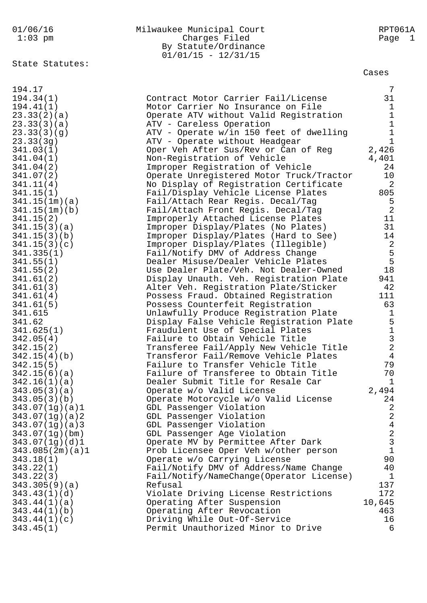|  |                      |  | 01/06/16 |  |
|--|----------------------|--|----------|--|
|  | $\sim$ $\sim$ $\sim$ |  |          |  |

| 01/06/16  | Milwaukee Municipal Court | RPT061A |
|-----------|---------------------------|---------|
| $1:03$ pm | Charges Filed             | Page 1  |
|           | By Statute/Ordinance      |         |
|           | $01/01/15 - 12/31/15$     |         |

State Statutes:

Cases

| 194.17          |                                          | 7              |
|-----------------|------------------------------------------|----------------|
| 194.34(1)       | Contract Motor Carrier Fail/License      | 31             |
| 194.41(1)       | Motor Carrier No Insurance on File       | $\mathbf{1}$   |
| 23.33(2)(a)     | Operate ATV without Valid Registration   | $\mathbf{1}$   |
| 23.33(3)(a)     | ATV - Careless Operation                 | $\mathbf{1}$   |
| 23.33(3)(g)     | ATV - Operate w/in 150 feet of dwelling  | $1\,$          |
| 23.33(3g)       | ATV - Operate without Headgear           | $\mathbf{1}$   |
| 341.03(1)       | Oper Veh After Sus/Rev or Can of Reg     | 2,426          |
| 341.04(1)       | Non-Registration of Vehicle              | 4,401          |
| 341.04(2)       | Improper Registration of Vehicle         | 24             |
| 341.07(2)       | Operate Unregistered Motor Truck/Tractor | 10             |
| 341.11(4)       | No Display of Registration Certificate   | 2              |
| 341.15(1)       | Fail/Display Vehicle License Plates      | 805            |
| 341.15(1m)(a)   | Fail/Attach Rear Regis. Decal/Tag        | 5              |
| 341.15(1m)(b)   | Fail/Attach Front Regis. Decal/Tag       | 2              |
| 341.15(2)       | Improperly Attached License Plates       | 11             |
| 341.15(3)(a)    | Improper Display/Plates (No Plates)      | 31             |
| 341.15(3)(b)    | Improper Display/Plates (Hard to See)    | 14             |
| 341.15(3)(c)    | Improper Display/Plates (Illegible)      |                |
| 341.335(1)      | Fail/Notify DMV of Address Change        | $\frac{2}{5}$  |
| 341.55(1)       | Dealer Misuse/Dealer Vehicle Plates      | $5\phantom{.}$ |
| 341.55(2)       | Use Dealer Plate/Veh. Not Dealer-Owned   | 18             |
| 341.61(2)       | Display Unauth. Veh. Registration Plate  | 941            |
| 341.61(3)       | Alter Veh. Registration Plate/Sticker    | 42             |
| 341.61(4)       | Possess Fraud. Obtained Registration     | 111            |
| 341.61(5)       | Possess Counterfeit Registration         | 63             |
| 341.615         | Unlawfully Produce Registration Plate    | $\mathbf{1}$   |
| 341.62          | Display False Vehicle Registration Plate | 5              |
| 341.625(1)      | Fraudulent Use of Special Plates         | $\mathbf 1$    |
| 342.05(4)       | Failure to Obtain Vehicle Title          | $\mathfrak{Z}$ |
| 342.15(2)       | Transferee Fail/Apply New Vehicle Title  | $\overline{a}$ |
| 342.15(4)(b)    | Transferor Fail/Remove Vehicle Plates    | $\overline{4}$ |
| 342.15(5)       | Failure to Transfer Vehicle Title        | 79             |
| 342.15(6)(a)    | Failure of Transferee to Obtain Title    | 70             |
| 342.16(1)(a)    | Dealer Submit Title for Resale Car       | $\mathbf{1}$   |
| 343.05(3)(a)    | Operate w/o Valid License                | 2,494          |
| 343.05(3)(b)    | Operate Motorcycle w/o Valid License     | 24             |
| 343.07(1g)(a)1  | GDL Passenger Violation                  | $\overline{a}$ |
| 343.07(1g)(a)2  | GDL Passenger Violation                  | $\overline{a}$ |
| 343.07(1g)(a)3  | GDL Passenger Violation                  | $\overline{4}$ |
| 343.07(1g)(bm)  | GDL Passenger Age Violation              | $\sqrt{2}$     |
| 343.07(1q)(d)1  | Operate MV by Permittee After Dark       | $\mathbf{3}$   |
| 343.085(2m)(a)1 | Prob Licensee Oper Veh w/other person    | $\mathbf{1}$   |
| 343.18(1)       | Operate w/o Carrying License             | 90             |
| 343.22(1)       | Fail/Notify DMV of Address/Name Change   | 40             |
| 343.22(3)       | Fail/Notify/NameChange(Operator License) | 1              |
| 343.305(9)(a)   | Refusal                                  | 137            |
| 343.43(1)(d)    | Violate Driving License Restrictions     | 172            |
| 343.44(1)(a)    | Operating After Suspension               | 10,645         |
| 343.44(1)(b)    | Operating After Revocation               | 463            |
| 343.44(1)(c)    | Driving While Out-Of-Service             | 16             |
| 343.45(1)       | Permit Unauthorized Minor to Drive       | 6              |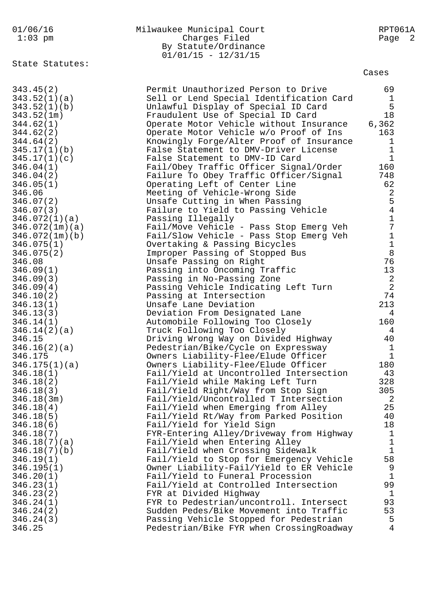| 01/06/16<br>$1:03$ pm  | Milwaukee Municipal Court<br>Charges Filed<br>By Statute/Ordinance<br>$01/01/15 - 12/31/15$ | RPT061A<br>$\overline{2}$<br>Page |
|------------------------|---------------------------------------------------------------------------------------------|-----------------------------------|
| State Statutes:        |                                                                                             | Cases                             |
| 343.45(2)              | Permit Unauthorized Person to Drive                                                         | 69                                |
| 343.52(1)(a)           | Sell or Lend Special Identification Card                                                    | 1                                 |
| 343.52(1)(b)           | Unlawful Display of Special ID Card                                                         | 5                                 |
| 343.52(1m)             | Fraudulent Use of Special ID Card                                                           | 18                                |
| 344.62(1)              | Operate Motor Vehicle without Insurance                                                     | 6,362                             |
| 344.62(2)              | Operate Motor Vehicle w/o Proof of Ins                                                      | 163                               |
| 344.64(2)              | Knowingly Forge/Alter Proof of Insurance                                                    | $\mathbf 1$                       |
| 345.17(1)(b)           | False Statement to DMV-Driver License                                                       | 1<br>$\mathbf{1}$                 |
| 345.17(1)(c)           | False Statement to DMV-ID Card                                                              | 160                               |
| 346.04(1)<br>346.04(2) | Fail/Obey Traffic Officer Signal/Order<br>Failure To Obey Traffic Officer/Signal            | 748                               |
| 346.05(1)              | Operating Left of Center Line                                                               | 62                                |
| 346.06                 | Meeting of Vehicle-Wrong Side                                                               | $\overline{2}$                    |
| 346.07(2)              | Unsafe Cutting in When Passing                                                              | 5                                 |
| 346.07(3)              | Failure to Yield to Passing Vehicle                                                         | $\overline{4}$                    |
| 346.072(1)(a)          | Passing Illegally                                                                           | 1                                 |
| 346.072(1m)(a)         | Fail/Move Vehicle - Pass Stop Emerg Veh                                                     | 7                                 |
| 346.072(1m)(b)         | Fail/Slow Vehicle - Pass Stop Emerg Veh                                                     | $\mathbf 1$                       |
| 346.075(1)             | Overtaking & Passing Bicycles                                                               | $\mathbf 1$                       |
| 346.075(2)             | Improper Passing of Stopped Bus                                                             | 8                                 |
| 346.08                 | Unsafe Passing on Right                                                                     | 76                                |
| 346.09(1)              | Passing into Oncoming Traffic                                                               | 13                                |
| 346.09(3)              | Passing in No-Passing Zone                                                                  | $\overline{2}$                    |
| 346.09(4)              | Passing Vehicle Indicating Left Turn                                                        | $\overline{2}$                    |
| 346.10(2)              | Passing at Intersection<br>Unsafe Lane Deviation                                            | 74<br>213                         |
| 346.13(1)<br>346.13(3) | Deviation From Designated Lane                                                              | 4                                 |
| 346.14(1)              | Automobile Following Too Closely                                                            | 160                               |
| 346.14(2)(a)           | Truck Following Too Closely                                                                 | 4                                 |
| 346.15                 | Driving Wrong Way on Divided Highway                                                        | 40                                |
| 346.16(2)(a)           | Pedestrian/Bike/Cycle on Expressway                                                         | $\mathbf{1}$                      |
| 346.175                | Owners Liability-Flee/Elude Officer                                                         | $\mathbf 1$                       |
| 346.175(1)(a)          | Owners Liability-Flee/Elude Officer                                                         | 180                               |
| 346.18(1)              | Fail/Yield at Uncontrolled Intersection                                                     | 43                                |
| 346.18(2)              | Fail/Yield while Making Left Turn                                                           | 328                               |
| 346.18(3)              | Fail/Yield Right/Way from Stop Sign                                                         | 305                               |
| 346.18(3m)             | Fail/Yield/Uncontrolled T Intersection                                                      | 2                                 |
| 346.18(4)<br>346.18(5) | Fail/Yield when Emerging from Alley<br>Fail/Yield Rt/Way from Parked Position               | 25<br>40                          |
| 346.18(6)              | Fail/Yield for Yield Sign                                                                   | 18                                |
| 346.18(7)              | FYR-Entering Alley/Driveway from Highway                                                    | $\mathbf{1}$                      |
| 346.18(7)(a)           | Fail/Yield when Entering Alley                                                              | $\mathbf{1}$                      |
| 346.18(7)(b)           | Fail/Yield when Crossing Sidewalk                                                           | $\mathbf{1}$                      |
| 346.19(1)              | Fail/Yield to Stop for Emergency Vehicle                                                    | 58                                |
| 346.195(1)             | Owner Liability-Fail/Yield to ER Vehicle                                                    | 9                                 |
| 346.20(1)              | Fail/Yield to Funeral Procession                                                            | $\mathbf{1}$                      |
| 346.23(1)              | Fail/Yield at Controlled Intersection                                                       | 99                                |
| 346.23(2)              | FYR at Divided Highway                                                                      | 1                                 |
| 346.24(1)              | FYR to Pedestrian/uncontroll. Intersect                                                     | 93                                |
| 346.24(2)              | Sudden Pedes/Bike Movement into Traffic                                                     | 53                                |
| 346.24(3)              | Passing Vehicle Stopped for Pedestrian                                                      | 5                                 |
| 346.25                 | Pedestrian/Bike FYR when CrossingRoadway                                                    | 4                                 |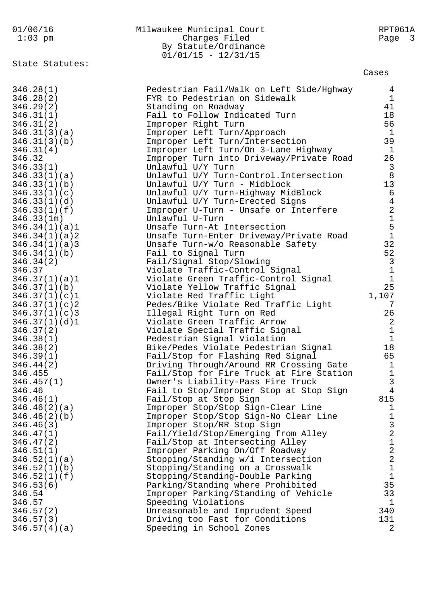| 01/06/16<br>$1:03$ pm                                                                                                                                                                                                                                                                                                                                                                                                                                                                                                                                                                                                                                                                                                            | Milwaukee Municipal Court<br>Charges Filed<br>By Statute/Ordinance<br>$01/01/15 - 12/31/15$                                                                                                                                                                                                                                                                                                                                                                                                                                                                                                                                                                                                                                                                                                                                                                                                                                                                                                                                                                                                                                                                                                                                                                                                                                                                                                                                                                                                                                                                                                                                                                                                                                                                                                      | RPT061A<br>Page<br>$\overline{\mathbf{3}}$                                                                                                                                                                                                                                                                                                                                                                                                                                                                                                                                                                            |
|----------------------------------------------------------------------------------------------------------------------------------------------------------------------------------------------------------------------------------------------------------------------------------------------------------------------------------------------------------------------------------------------------------------------------------------------------------------------------------------------------------------------------------------------------------------------------------------------------------------------------------------------------------------------------------------------------------------------------------|--------------------------------------------------------------------------------------------------------------------------------------------------------------------------------------------------------------------------------------------------------------------------------------------------------------------------------------------------------------------------------------------------------------------------------------------------------------------------------------------------------------------------------------------------------------------------------------------------------------------------------------------------------------------------------------------------------------------------------------------------------------------------------------------------------------------------------------------------------------------------------------------------------------------------------------------------------------------------------------------------------------------------------------------------------------------------------------------------------------------------------------------------------------------------------------------------------------------------------------------------------------------------------------------------------------------------------------------------------------------------------------------------------------------------------------------------------------------------------------------------------------------------------------------------------------------------------------------------------------------------------------------------------------------------------------------------------------------------------------------------------------------------------------------------|-----------------------------------------------------------------------------------------------------------------------------------------------------------------------------------------------------------------------------------------------------------------------------------------------------------------------------------------------------------------------------------------------------------------------------------------------------------------------------------------------------------------------------------------------------------------------------------------------------------------------|
| State Statutes:                                                                                                                                                                                                                                                                                                                                                                                                                                                                                                                                                                                                                                                                                                                  |                                                                                                                                                                                                                                                                                                                                                                                                                                                                                                                                                                                                                                                                                                                                                                                                                                                                                                                                                                                                                                                                                                                                                                                                                                                                                                                                                                                                                                                                                                                                                                                                                                                                                                                                                                                                  | Cases                                                                                                                                                                                                                                                                                                                                                                                                                                                                                                                                                                                                                 |
| 346.28(1)<br>346.28(2)<br>346.29(2)<br>346.31(1)<br>346.31(2)<br>346.31(3)(a)<br>346.31(3)(b)<br>346.31(4)<br>346.32<br>346.33(1)<br>346.33(1)(a)<br>346.33(1)(b)<br>346.33(1)(c)<br>346.33(1)(d)<br>346.33(1)(f)<br>346.33(1m)<br>346.34(1)(a)1<br>346.34(1)(a)2<br>346.34(1)(a)3<br>346.34(1)(b)<br>346.34(2)<br>346.37<br>346.37(1)(a)1<br>346.37(1)(b)<br>346.37(1)(c)1<br>346.37(1)(c)<br>346.37(1)(c)3<br>346.37(1)(d)1<br>346.37(2)<br>346.38(1)<br>346.38(2)<br>346.39(1)<br>346.44(2)<br>346.455<br>346.457(1)<br>346.46<br>346.46(1)<br>346.46(2)(a)<br>346.46(2)(b)<br>346.46(3)<br>346.47(1)<br>346.47(2)<br>346.51(1)<br>346.52(1)(a)<br>346.52(1)(b)<br>346.52(1)(f)<br>346.53(6)<br>346.54<br>346.57<br>346.57(2) | Pedestrian Fail/Walk on Left Side/Hghway<br>FYR to Pedestrian on Sidewalk<br>Standing on Roadway<br>Fail to Follow Indicated Turn<br>Improper Right Turn<br>Improper Left Turn/Approach<br>Improper Left Turn/Intersection<br>Improper Left Turn/On 3-Lane Highway<br>Improper Turn into Driveway/Private Road<br>Unlawful U/Y Turn<br>Unlawful U/Y Turn-Control. Intersection<br>Unlawful U/Y Turn - Midblock<br>Unlawful U/Y Turn-Highway MidBlock<br>Unlawful U/Y Turn-Erected Signs<br>Improper U-Turn - Unsafe or Interfere<br>Unlawful U-Turn<br>Unsafe Turn-At Intersection<br>Unsafe Turn-Enter Driveway/Private Road<br>Unsafe Turn-w/o Reasonable Safety<br>Fail to Signal Turn<br>Fail/Signal Stop/Slowing<br>Violate Traffic-Control Signal<br>Violate Green Traffic-Control Signal<br>Violate Yellow Traffic Signal<br>Violate Red Traffic Light<br>Pedes/Bike Violate Red Traffic Light<br>Illegal Right Turn on Red<br>Violate Green Traffic Arrow<br>Violate Special Traffic Signal<br>Pedestrian Signal Violation<br>Bike/Pedes Violate Pedestrian Signal<br>Fail/Stop for Flashing Red Signal<br>Driving Through/Around RR Crossing Gate<br>Fail/Stop for Fire Truck at Fire Station<br>Owner's Liability-Pass Fire Truck<br>Fail to Stop/Improper Stop at Stop Sign<br>Fail/Stop at Stop Sign<br>Improper Stop/Stop Sign-Clear Line<br>Improper Stop/Stop Sign-No Clear Line<br>Improper Stop/RR Stop Sign<br>Fail/Yield/Stop/Emerging from Alley<br>Fail/Stop at Intersecting Alley<br>Improper Parking On/Off Roadway<br>Stopping/Standing w/i Intersection<br>Stopping/Standing on a Crosswalk<br>Stopping/Standing-Double Parking<br>Parking/Standing where Prohibited<br>Improper Parking/Standing of Vehicle<br>Speeding Violations<br>Unreasonable and Imprudent Speed | 4<br>$\mathbf{1}$<br>41<br>18<br>56<br>$\mathbf{1}$<br>39<br>$\mathbf{1}$<br>26<br>$\begin{array}{c} 3 \\ 8 \end{array}$<br>13<br>$\epsilon$<br>$\bf 4$<br>$\begin{array}{c} 2 \\ 1 \\ 5 \\ 1 \end{array}$<br>32<br>52<br>$\begin{array}{c} 3 \\ 1 \end{array}$<br>$\mathbf 1$<br>25<br>1,107<br>7<br>26<br>$\boldsymbol{2}$<br>$\mathbf 1$<br>$\mathbf{1}$<br>18<br>65<br>$\mathbf 1$<br>$\mathbf 1$<br>3<br>$\overline{4}$<br>815<br>$\mathbf 1$<br>$\mathbf 1$<br>3<br>$\overline{c}$<br>$\mathbf 1$<br>$\overline{\mathbf{c}}$<br>$\overline{a}$<br>$\mathbf 1$<br>$\mathbf 1$<br>35<br>33<br>$\mathbf{1}$<br>340 |
| 346.57(3)<br>346.57(4)(a)                                                                                                                                                                                                                                                                                                                                                                                                                                                                                                                                                                                                                                                                                                        | Driving too Fast for Conditions<br>Speeding in School Zones                                                                                                                                                                                                                                                                                                                                                                                                                                                                                                                                                                                                                                                                                                                                                                                                                                                                                                                                                                                                                                                                                                                                                                                                                                                                                                                                                                                                                                                                                                                                                                                                                                                                                                                                      | 131<br>2                                                                                                                                                                                                                                                                                                                                                                                                                                                                                                                                                                                                              |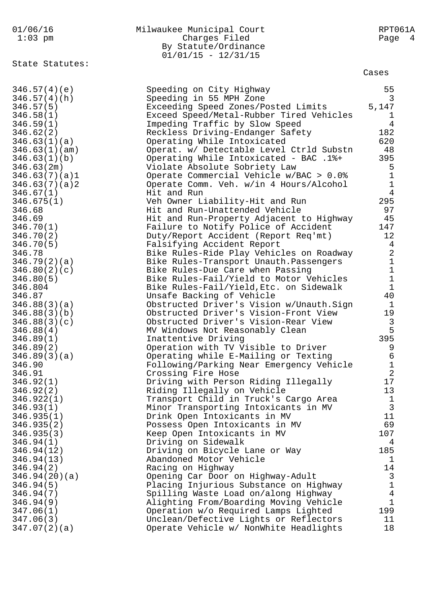| 01/06/16<br>$1:03$ pm         | Milwaukee Municipal Court<br>Charges Filed<br>By Statute/Ordinance<br>$01/01/15 - 12/31/15$ | RPT061A<br>Page<br>4                       |
|-------------------------------|---------------------------------------------------------------------------------------------|--------------------------------------------|
| State Statutes:               |                                                                                             | Cases                                      |
| 346.57(4)(e)<br>346.57(4)(h)  | Speeding on City Highway<br>Speeding in 55 MPH Zone                                         | 55<br>3                                    |
| 346.57(5)                     | Exceeding Speed Zones/Posted Limits                                                         | 5,147                                      |
| 346.58(1)                     | Exceed Speed/Metal-Rubber Tired Vehicles                                                    | ı                                          |
| 346.59(1)                     | Impeding Traffic by Slow Speed                                                              | 4                                          |
| 346.62(2)                     | Reckless Driving-Endanger Safety                                                            | 182                                        |
| 346.63(1)(a)                  | Operating While Intoxicated                                                                 | 620<br>48                                  |
| 346.63(1)(am)<br>346.63(1)(b) | Operat. w/ Detectable Level Ctrld Substn<br>Operating While Intoxicated - BAC .1%+          | 395                                        |
| 346.63(2m)                    | Violate Absolute Sobriety Law                                                               | 5                                          |
| 346.63(7)(a)1                 | Operate Commercial Vehicle w/BAC > 0.0%                                                     | $\mathbf 1$                                |
| 346.63(7)(a)2                 | Operate Comm. Veh. w/in 4 Hours/Alcohol                                                     | $\overline{1}$                             |
| 346.67(1)                     | Hit and Run                                                                                 | $\overline{4}$                             |
| 346.675(1)                    | Veh Owner Liability-Hit and Run                                                             | 295                                        |
| 346.68                        | Hit and Run-Unattended Vehicle                                                              | 97                                         |
| 346.69                        | Hit and Run-Property Adjacent to Highway                                                    | 45                                         |
| 346.70(1)                     | Failure to Notify Police of Accident                                                        | 147<br>12                                  |
| 346.70(2)<br>346.70(5)        | Duty/Report Accident (Report Req'mt)<br>Falsifying Accident Report                          | $\overline{4}$                             |
| 346.78                        | Bike Rules-Ride Play Vehicles on Roadway                                                    | $\sqrt{2}$                                 |
| 346.79(2)(a)                  | Bike Rules-Transport Unauth. Passengers                                                     |                                            |
| 346.80(2)(c)                  | Bike Rules-Due Care when Passing                                                            | $\begin{array}{c} 1 \\ 1 \\ 1 \end{array}$ |
| 346.80(5)                     | Bike Rules-Fail/Yield to Motor Vehicles                                                     |                                            |
| 346.804                       | Bike Rules-Fail/Yield, Etc. on Sidewalk                                                     | $1\,$                                      |
| 346.87                        | Unsafe Backing of Vehicle                                                                   | 40                                         |
| 346.88(3)(a)                  | Obstructed Driver's Vision w/Unauth.Sign                                                    | 1                                          |
| 346.88(3)(b)                  | Obstructed Driver's Vision-Front View                                                       | 19                                         |
| 346.88(3)(c)<br>346.88(4)     | Obstructed Driver's Vision-Rear View<br>MV Windows Not Reasonably Clean                     | $\mathfrak{Z}$<br>5                        |
| 346.89(1)                     | Inattentive Driving                                                                         | 395                                        |
| 346.89(2)                     | Operation with TV Visible to Driver                                                         | 9                                          |
| 346.89(3)(a)                  | Operating while E-Mailing or Texting                                                        | 6                                          |
| 346.90                        | Following/Parking Near Emergency Vehicle                                                    | $\mathbf{1}$                               |
| 346.91                        | Crossing Fire Hose                                                                          | $\overline{2}$                             |
| 346.92(1)                     | Driving with Person Riding Illegally                                                        | 17                                         |
| 346.92(2)                     | Riding Illegally on Vehicle                                                                 | 13                                         |
| 346.922(1)<br>346.93(1)       | Transport Child in Truck's Cargo Area<br>Minor Transporting Intoxicants in MV               | $\mathbf{1}$<br>3                          |
| 346.935(1)                    | Drink Open Intoxicants in MV                                                                | 11                                         |
| 346.935(2)                    | Possess Open Intoxicants in MV                                                              | 69                                         |
| 346.935(3)                    | Keep Open Intoxicants in MV                                                                 | 107                                        |
| 346.94(1)                     | Driving on Sidewalk                                                                         | 4                                          |
| 346.94(12)                    | Driving on Bicycle Lane or Way                                                              | 185                                        |
| 346.94(13)                    | Abandoned Motor Vehicle                                                                     | $\mathbf 1$                                |
| 346.94(2)                     | Racing on Highway                                                                           | 14                                         |
| 346.94(20)(a)                 | Opening Car Door on Highway-Adult                                                           | 3<br>$\mathbf{1}$                          |
| 346.94(5)<br>346.94(7)        | Placing Injurious Substance on Highway<br>Spilling Waste Load on/along Highway              | $\overline{4}$                             |
| 346.94(9)                     | Alighting From/Boarding Moving Vehicle                                                      | $\mathbf{1}$                               |
| 347.06(1)                     | Operation w/o Required Lamps Lighted                                                        | 199                                        |
| 347.06(3)                     | Unclean/Defective Lights or Reflectors                                                      | 11                                         |
| 347.07(2)(a)                  | Operate Vehicle w/ NonWhite Headlights                                                      | 18                                         |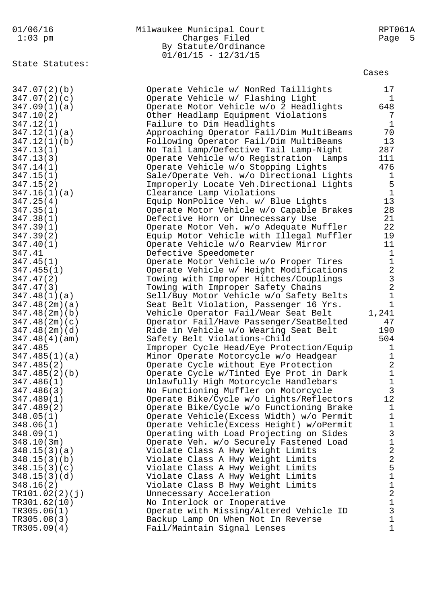|  |      |  | 01/06/16 |  |
|--|------|--|----------|--|
|  | 1.00 |  |          |  |

| 01/06/16  | Milwaukee Municipal Court | RPT061A |
|-----------|---------------------------|---------|
| $1:03$ pm | Charges Filed             | Page 5  |
|           | By Statute/Ordinance      |         |
|           | $01/01/15 - 12/31/15$     |         |

State Statutes:

| .-<br>⇐<br>∽ |
|--------------|
|--------------|

| 347.07(2)(b)   | Operate Vehicle w/ NonRed Taillights      | 17             |
|----------------|-------------------------------------------|----------------|
| 347.07(2)(c)   | Operate Vehicle w/ Flashing Light         | $\mathbf{1}$   |
| 347.09(1)(a)   | Operate Motor Vehicle w/o 2 Headlights    | 648            |
| 347.10(2)      | Other Headlamp Equipment Violations       | 7              |
| 347.12(1)      | Failure to Dim Headlights                 | $\mathbf{1}$   |
| 347.12(1)(a)   | Approaching Operator Fail/Dim MultiBeams  | 70             |
| 347.12(1)(b)   | Following Operator Fail/Dim MultiBeams    | 13             |
| 347.13(1)      | No Tail Lamp/Defective Tail Lamp-Night    | 287            |
| 347.13(3)      | Operate Vehicle w/o Registration Lamps    | 111            |
| 347.14(1)      | Operate Vehicle w/o Stopping Lights       | 476            |
| 347.15(1)      | Sale/Operate Veh. w/o Directional Lights  | $\mathbf{1}$   |
| 347.15(2)      | Improperly Locate Veh.Directional Lights  | 5              |
| 347.16(1)(a)   | Clearance Lamp Violations                 | $\mathbf{1}$   |
| 347.25(4)      | Equip NonPolice Veh. w/ Blue Lights       | 13             |
| 347.35(1)      | Operate Motor Vehicle w/o Capable Brakes  | 28             |
| 347.38(1)      | Defective Horn or Unnecessary Use         | 21             |
| 347.39(1)      | Operate Motor Veh. w/o Adequate Muffler   | 22             |
| 347.39(2)      | Equip Motor Vehicle with Illegal Muffler  | 19             |
| 347.40(1)      | Operate Vehicle w/o Rearview Mirror       | 11             |
| 347.41         | Defective Speedometer                     | $\mathbf{1}$   |
| 347.45(1)      | Operate Motor Vehicle w/o Proper Tires    | $\mathbf{1}$   |
| 347.455(1)     | Operate Vehicle w/ Height Modifications   | $\mathbf{2}$   |
| 347.47(2)      | Towing with Improper Hitches/Couplings    | $\mathbf{3}$   |
| 347.47(3)      | Towing with Improper Safety Chains        | $\overline{a}$ |
| 347.48(1)(a)   | Sell/Buy Motor Vehicle w/o Safety Belts   | $1\,$          |
| 347.48(2m)(a)  | Seat Belt Violation, Passenger 16 Yrs.    | $\mathbf{1}$   |
| 347.48(2m)(b)  | Vehicle Operator Fail/Wear Seat Belt      | 1,241          |
| 347.48(2m)(c)  | Operator Fail/Have Passenger/SeatBelted   | 47             |
| 347.48(2m)(d)  | Ride in Vehicle w/o Wearing Seat Belt     | 190            |
| 347.48(4)(am)  | Safety Belt Violations-Child              | 504            |
| 347.485        | Improper Cycle Head/Eye Protection/Equip  | $\mathbf 1$    |
| 347.485(1)(a)  | Minor Operate Motorcycle w/o Headgear     | $\mathbf{1}$   |
| 347.485(2)     | Operate Cycle without Eye Protection      | $\overline{a}$ |
| 347.485(2)(b)  | Operate Cycle w/Tinted Eye Prot in Dark   | $\mathbf 1$    |
| 347.486(1)     | Unlawfully High Motorcycle Handlebars     | $1\,$          |
| 347.486(3)     | No Functioning Muffler on Motorcycle      | $\overline{3}$ |
| 347.489(1)     | Operate Bike/Cycle w/o Lights/Reflectors  | 12             |
| 347.489(2)     | Operate Bike/Cycle w/o Functioning Brake  | $\mathbf{1}$   |
| 348.05(1)      | Operate Vehicle(Excess Width) w/o Permit  | $\mathbf 1$    |
| 348.06(1)      | Operate Vehicle (Excess Height) w/oPermit | $\mathbf 1$    |
| 348.09(1)      | Operating with Load Projecting on Sides   | $\mathbf{3}$   |
| 348.10(3m)     | Operate Veh. w/o Securely Fastened Load   | $\mathbf{1}$   |
| 348.15(3)(a)   | Violate Class A Hwy Weight Limits         | $\overline{a}$ |
| 348.15(3)(b)   | Violate Class A Hwy Weight Limits         | $\sqrt{2}$     |
| 348.15(3)(c)   | Violate Class A Hwy Weight Limits         | 5              |
| 348.15(3)(d)   | Violate Class A Hwy Weight Limits         | $\mathbf 1$    |
| 348.16(2)      | Violate Class B Hwy Weight Limits         | $1\,$          |
| TR101.02(2)(j) | Unnecessary Acceleration                  | $\sqrt{2}$     |
| TR301.62(10)   | No Interlock or Inoperative               | $\mathbf 1$    |
| TR305.06(1)    | Operate with Missing/Altered Vehicle ID   | $\mathbf{3}$   |
| TR305.08(3)    | Backup Lamp On When Not In Reverse        | $\mathbf{1}$   |
| TR305.09(4)    | Fail/Maintain Signal Lenses               | $\mathbf{1}$   |
|                |                                           |                |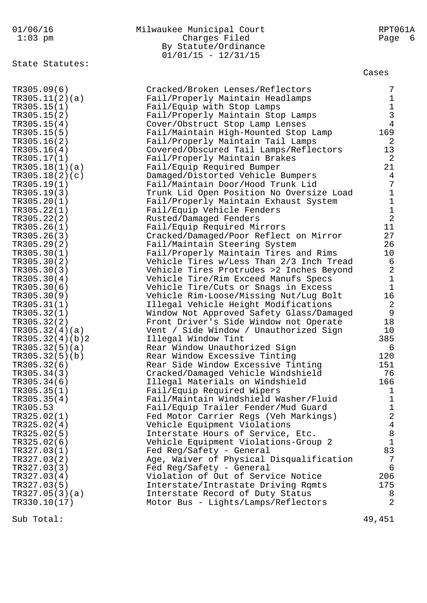01/06/16 Milwaukee Municipal Court RPT061A 1:03 pm Charges Filed Page 6 By Statute/Ordinance  $01/01/15 - 12/31/15$ State Statutes: Cases TR305.09(6) Cracked/Broken Lenses/Reflectors 7 TR305.11(2)(a) Fail/Properly Maintain Headlamps 1 TR305.15(1) Fail/Equip with Stop Lamps 1 TR305.15(2) Fail/Properly Maintain Stop Lamps TR305.15(4) Cover/Obstruct Stop Lamp Lenses 4 TR305.15(5) Fail/Maintain High-Mounted Stop Lamp 169 TR305.16(2) Fail/Properly Maintain Tail Lamps 2 TR305.16(4) Covered/Obscured Tail Lamps/Reflectors 13 TR305.17(1) Fail/Properly Maintain Brakes 2 TR305.18(1)(a) Fail/Equip Required Bumper 21 TR305.18(2)(c) Damaged/Distorted Vehicle Bumpers 4 TR305.19(1) Fail/Maintain Door/Hood Trunk Lid 7 TR305.19(3) Trunk Lid Open Position No Oversize Load 1 TR305.20(1) Fail/Properly Maintain Exhaust System 1 TR305.22(1) Fail/Equip Vehicle Fenders 1 TR305.22(2) Rusted/Damaged Fenders 2 TR305.26(1) Fail/Equip Required Mirrors 11 TR305.26(3) Cracked/Damaged/Poor Reflect on Mirror 27 TR305.29(2) Fail/Maintain Steering System 26 TR305.30(1) Fail/Properly Maintain Tires and Rims 10 TR305.30(2) Vehicle Tires w/Less Than 2/3 Inch Tread 6 TR305.30(3) Vehicle Tires Protrudes >2 Inches Beyond 2 TR305.30(4) Vehicle Tire/Rim Exceed Manufs Specs 1 TR305.30(6) Vehicle Tire/Cuts or Snags in Excess 1 TR305.30(9) Vehicle Rim-Loose/Missing Nut/Lug Bolt 16 TR305.31(1) Illegal Vehicle Height Modifications 2 TR305.32(1) Window Not Approved Safety Glass/Damaged 9 TR305.32(2) Front Driver's Side Window not Operate 18 TR305.32(4)(a) Vent / Side Window / Unauthorized Sign 10 TR305.32(4)(b)2 Illegal Window Tint 385 TR305.32(5)(a) Rear Window Unauthorized Sign 6 TR305.32(5)(b) Rear Window Excessive Tinting 120 TR305.32(6) Rear Side Window Excessive Tinting 151 TR305.34(3) Cracked/Damaged Vehicle Windshield 76 TR305.34(6) Illegal Materials on Windshield 166 TR305.35(1) Fail/Equip Required Wipers 1 TR305.35(4) Fail/Maintain Windshield Washer/Fluid 1 TR305.53 Fail/Equip Trailer Fender/Mud Guard 1 TR325.02(1) Fed Motor Carrier Regs (Veh Markings) 2 TR325.02(4) Vehicle Equipment Violations 4 TR325.02(5) Therstate Hours of Service, Etc. 38 TR325.02(6) Vehicle Equipment Violations-Group 2 1 TR327.03(1) Fed Reg/Safety - General Rangler B3 TR327.03(2) Age, Waiver of Physical Disqualification 7 TR327.03(3) Fed Reg/Safety - General 6 TR327.03(4) Violation of Out of Service Notice 206 TR327.03(5) Interstate/Intrastate Driving Rqmts 175 TR327.05(3)(a) Therstate Record of Duty Status 8 TR330.10(17) Motor Bus - Lights/Lamps/Reflectors 2

Sub Total: 49,451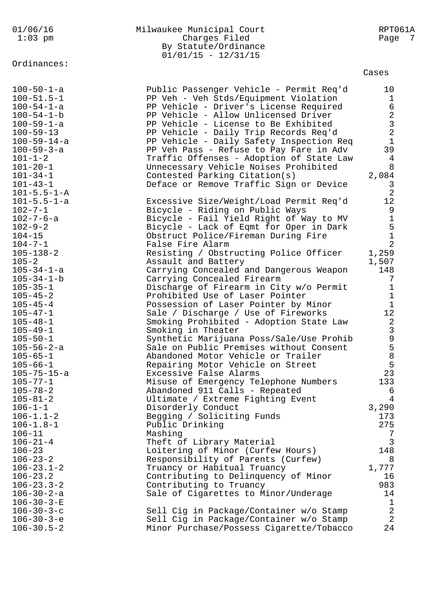Ordinances:

## 01/06/16 Milwaukee Municipal Court RPT061A Charges Filed By Statute/Ordinance  $01/01/15 - 12/31/15$

Cases

| $100 - 50 - 1 - a$<br>$100 - 51.5 - 1$<br>$100 - 54 - 1 - a$<br>$100 - 54 - 1 - b$<br>$100 - 59 - 1 - a$<br>$100 - 59 - 13$<br>$100 - 59 - 14 - a$<br>$100 - 59 - 3 - a$<br>$101 - 1 - 2$<br>$101 - 20 - 1$ | Public Passenger Vehicle - Permit Req'd<br>PP Veh - Veh Stds/Equipment Violation<br>PP Vehicle - Driver's License Required<br>PP Vehicle - Allow Unlicensed Driver<br>PP Vehicle - License to Be Exhibited<br>PP Vehicle - Daily Trip Records Req'd<br>PP Vehicle - Daily Safety Inspection Req<br>PP Veh Pass - Refuse to Pay Fare in Adv<br>Traffic Offenses - Adoption of State Law<br>Unnecessary Vehicle Noises Prohibited | 10<br>$\mathbf{1}$<br>$6\,$<br>$\begin{array}{c} 2 \\ 3 \\ 2 \end{array}$<br>$1\,$<br>39<br>4<br>8 |
|-------------------------------------------------------------------------------------------------------------------------------------------------------------------------------------------------------------|---------------------------------------------------------------------------------------------------------------------------------------------------------------------------------------------------------------------------------------------------------------------------------------------------------------------------------------------------------------------------------------------------------------------------------|----------------------------------------------------------------------------------------------------|
| $101 - 34 - 1$<br>$101 - 43 - 1$<br>$101 - 5.5 - 1 - A$<br>$101 - 5.5 - 1 - a$<br>$102 - 7 - 1$                                                                                                             | Contested Parking Citation(s)<br>Deface or Remove Traffic Sign or Device<br>Excessive Size/Weight/Load Permit Req'd<br>Bicycle - Riding on Public Ways                                                                                                                                                                                                                                                                          | 2,084<br>$\mathbf{3}$<br>$\overline{2}$<br>12<br>9                                                 |
| $102 - 7 - 6 - a$<br>$102 - 9 - 2$<br>$104 - 15$<br>$104 - 7 - 1$                                                                                                                                           | Bicycle - Fail Yield Right of Way to MV<br>Bicycle - Lack of Eqmt for Oper in Dark<br>Obstruct Police/Fireman During Fire<br>False Fire Alarm                                                                                                                                                                                                                                                                                   | $\begin{array}{c} 1 \\ 5 \\ 1 \\ 2 \end{array}$                                                    |
| $105 - 138 - 2$<br>$105 - 2$<br>$105 - 34 - 1 - a$<br>$105 - 34 - 1 - b$<br>$105 - 35 - 1$                                                                                                                  | Resisting / Obstructing Police Officer<br>Assault and Battery<br>Carrying Concealed and Dangerous Weapon<br>Carrying Concealed Firearm<br>Discharge of Firearm in City w/o Permit                                                                                                                                                                                                                                               | 1,259<br>1,507<br>148<br>7<br>$\mathbf 1$                                                          |
| $105 - 45 - 2$<br>$105 - 45 - 4$<br>$105 - 47 - 1$<br>$105 - 48 - 1$                                                                                                                                        | Prohibited Use of Laser Pointer<br>Possession of Laser Pointer by Minor<br>Sale / Discharge / Use of Fireworks<br>Smoking Prohibited - Adoption State Law                                                                                                                                                                                                                                                                       | $\mathbf 1$<br>$\mathbf{1}$<br>12                                                                  |
| $105 - 49 - 1$<br>$105 - 50 - 1$<br>$105 - 56 - 2 - a$<br>$105 - 65 - 1$                                                                                                                                    | Smoking in Theater<br>Synthetic Marijuana Poss/Sale/Use Prohib<br>Sale on Public Premises without Consent<br>Abandoned Motor Vehicle or Trailer                                                                                                                                                                                                                                                                                 | 2<br>3<br>9<br>5<br>8<br>5<br>5                                                                    |
| $105 - 66 - 1$<br>105-75-15-a<br>$105 - 77 - 1$<br>$105 - 78 - 2$<br>$105 - 81 - 2$                                                                                                                         | Repairing Motor Vehicle on Street<br>Excessive False Alarms<br>Misuse of Emergency Telephone Numbers<br>Abandoned 911 Calls - Repeated<br>Ultimate / Extreme Fighting Event                                                                                                                                                                                                                                                     | 23<br>133<br>6<br>$\overline{4}$                                                                   |
| $106 - 1 - 1$<br>$106 - 1.1 - 2$<br>$106 - 1.8 - 1$<br>$106 - 11$                                                                                                                                           | Disorderly Conduct<br>Begging / Soliciting Funds<br>Public Drinking<br>Mashing                                                                                                                                                                                                                                                                                                                                                  | 3,290<br>173<br>275<br>7                                                                           |
| $106 - 21 - 4$<br>$106 - 23$<br>$106 - 23 - 2$<br>$106 - 23.1 - 2$<br>$106 - 23.2$                                                                                                                          | Theft of Library Material<br>Loitering of Minor (Curfew Hours)<br>Responsibility of Parents (Curfew)<br>Truancy or Habitual Truancy<br>Contributing to Delinquency of Minor                                                                                                                                                                                                                                                     | $\mathbf{3}$<br>148<br>8<br>1,777<br>16                                                            |
| $106 - 23.3 - 2$<br>$106 - 30 - 2 - a$<br>$106 - 30 - 3 - E$<br>$106 - 30 - 3 - c$<br>$106 - 30 - 3 - e$                                                                                                    | Contributing to Truancy<br>Sale of Cigarettes to Minor/Underage<br>Sell Cig in Package/Container w/o Stamp<br>Sell Cig in Package/Container w/o Stamp                                                                                                                                                                                                                                                                           | 983<br>14<br>$\mathbf{1}$<br>$\begin{array}{c} 2 \\ 2 \end{array}$                                 |
| $106 - 30.5 - 2$                                                                                                                                                                                            | Minor Purchase/Possess Cigarette/Tobacco                                                                                                                                                                                                                                                                                                                                                                                        | 24                                                                                                 |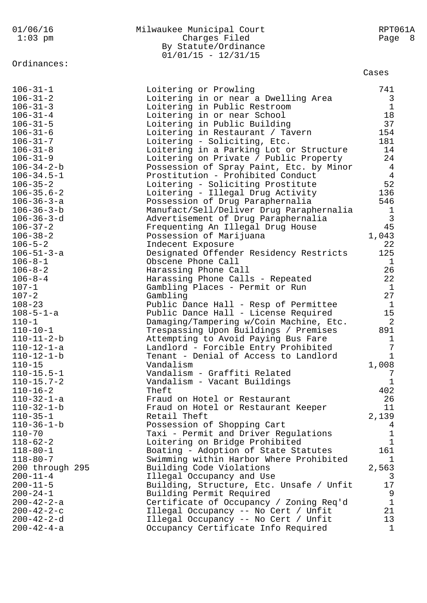|                    | By Statute/Ordinance                     |                |
|--------------------|------------------------------------------|----------------|
|                    | $01/01/15 - 12/31/15$                    |                |
| Ordinances:        |                                          |                |
|                    |                                          | Cases          |
| $106 - 31 - 1$     | Loitering or Prowling                    | 741            |
| $106 - 31 - 2$     | Loitering in or near a Dwelling Area     | 3              |
| $106 - 31 - 3$     | Loitering in Public Restroom             | $\mathbf{1}$   |
| $106 - 31 - 4$     | Loitering in or near School              | 18             |
| $106 - 31 - 5$     | Loitering in Public Building             | 37             |
| $106 - 31 - 6$     | Loitering in Restaurant / Tavern         | 154            |
| $106 - 31 - 7$     | Loitering - Soliciting, Etc.             | 181            |
| $106 - 31 - 8$     | Loitering in a Parking Lot or Structure  | 14             |
| $106 - 31 - 9$     | Loitering on Private / Public Property   | 24             |
| $106 - 34 - 2 - b$ | Possession of Spray Paint, Etc. by Minor | $\overline{4}$ |
| $106 - 34.5 - 1$   | Prostitution - Prohibited Conduct        | $\overline{4}$ |
| $106 - 35 - 2$     | Loitering - Soliciting Prostitute        | 52             |
| $106 - 35.6 - 2$   | Loitering - Illegal Drug Activity        | 136            |
| $106 - 36 - 3 - a$ | Possession of Drug Paraphernalia         | 546            |
| $106 - 36 - 3 - b$ | Manufact/Sell/Deliver Drug Paraphernalia | $\mathbf{1}$   |
| $106 - 36 - 3 - d$ | Advertisement of Drug Paraphernalia      | $\mathbf{3}$   |
| $106 - 37 - 2$     | Frequenting An Illegal Drug House        | 45             |
| $106 - 38 - 2$     | Possession of Marijuana                  | 1,043          |
| $106 - 5 - 2$      | Indecent Exposure                        | 22             |
| $106 - 51 - 3 - a$ | Designated Offender Residency Restricts  | 125            |
| $106 - 8 - 1$      | Obscene Phone Call                       | $\mathbf{1}$   |
| $106 - 8 - 2$      | Harassing Phone Call                     | 26             |
| $106 - 8 - 4$      | Harassing Phone Calls - Repeated         | 22             |
| $107 - 1$          | Gambling Places - Permit or Run          | 1              |
| $107 - 2$          | Gambling                                 | 27             |
| $108 - 23$         | Public Dance Hall - Resp of Permittee    | $\mathbf{1}$   |
| $108 - 5 - 1 - a$  | Public Dance Hall - License Required     | 15             |
| $110 - 1$          | Damaging/Tampering w/Coin Machine, Etc.  | 2              |
| $110 - 10 - 1$     | Trespassing Upon Buildings / Premises    | 891            |
| $110 - 11 - 2 - b$ | Attempting to Avoid Paying Bus Fare      | 1              |
| $110 - 12 - 1 - a$ | Landlord - Forcible Entry Prohibited     | 7              |
| $110 - 12 - 1 - b$ | Tenant - Denial of Access to Landlord    | $\mathbf{1}$   |
| $110 - 15$         | Vandalism                                | 1,008          |
| $110 - 15.5 - 1$   | Vandalism - Graffiti Related             | 7              |
| $110 - 15.7 - 2$   | Vandalism - Vacant Buildings             | $\mathbf 1$    |
| $110 - 16 - 2$     | Theft                                    | 402            |
| $110 - 32 - 1 - a$ | Fraud on Hotel or Restaurant             | 26             |
| $110 - 32 - 1 - b$ | Fraud on Hotel or Restaurant Keeper      | 11             |
| $110 - 35 - 1$     | Retail Theft                             | 2,139          |
| $110 - 36 - 1 - b$ | Possession of Shopping Cart              | 4              |
| $110 - 70$         | Taxi - Permit and Driver Regulations     | $\mathbf 1$    |
| $118 - 62 - 2$     | Loitering on Bridge Prohibited           | $\mathbf{1}$   |
| $118 - 80 - 1$     | Boating - Adoption of State Statutes     | 161            |
| $118 - 80 - 7$     | Swimming within Harbor Where Prohibited  | $\mathbf{1}$   |
| 200 through 295    | Building Code Violations                 | 2,563          |
| $200 - 11 - 4$     | Illegal Occupancy and Use                | 3              |
| $200 - 11 - 5$     | Building, Structure, Etc. Unsafe / Unfit | 17             |
| $200 - 24 - 1$     | Building Permit Required                 | 9              |
| $200 - 42 - 2 - a$ | Certificate of Occupancy / Zoning Req'd  | $\mathbf{1}$   |
| $200 - 42 - 2 - c$ | Illegal Occupancy -- No Cert / Unfit     | 21             |
| $200 - 42 - 2 - d$ | Illegal Occupancy -- No Cert / Unfit     | 13             |
| $200 - 42 - 4 - a$ | Occupancy Certificate Info Required      | $\mathbf{1}$   |
|                    |                                          |                |

01/06/16 Milwaukee Municipal Court RPT061A 1:03 pm Charges Filed Page 8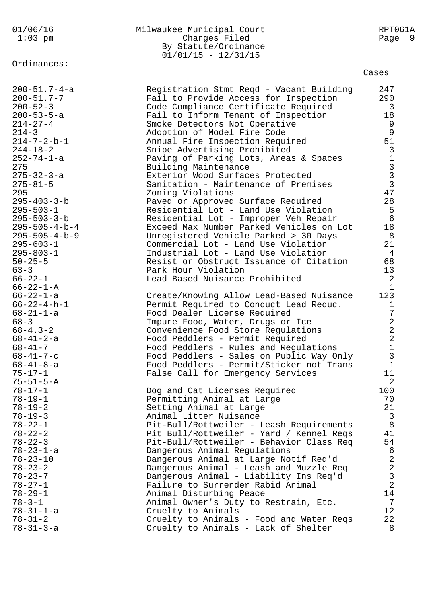| Ordinances:<br>Cases<br>$200 - 51.7 - 4 - a$<br>247<br>Registration Stmt Reqd - Vacant Building<br>$200 - 51.7 - 7$<br>290<br>Fail to Provide Access for Inspection<br>$200 - 52 - 3$<br>Code Compliance Certificate Required<br>3<br>$200 - 53 - 5 - a$<br>18<br>Fail to Inform Tenant of Inspection<br>$214 - 27 - 4$<br>9<br>Smoke Detectors Not Operative<br>9<br>$214 - 3$<br>Adoption of Model Fire Code<br>51<br>$214 - 7 - 2 - b - 1$<br>Annual Fire Inspection Required<br>3<br>$244 - 18 - 2$<br>Snipe Advertising Prohibited<br>$\begin{array}{c}\n1 \\ 3 \\ 3\n\end{array}$<br>252-74-1-a<br>Paving of Parking Lots, Areas & Spaces<br>275<br>Building Maintenance<br>$275 - 32 - 3 - a$<br>Exterior Wood Surfaces Protected<br>$275 - 81 - 5$<br>Sanitation - Maintenance of Premises<br>47<br>295<br>Zoning Violations<br>$295 - 403 - 3 - b$<br>28<br>Paved or Approved Surface Required<br>5<br>$295 - 503 - 1$<br>Residential Lot - Land Use Violation<br>$6\overline{6}$<br>$295 - 503 - 3 - b$<br>Residential Lot - Improper Veh Repair<br>18<br>$295 - 505 - 4 - b - 4$<br>Exceed Max Number Parked Vehicles on Lot<br>$295 - 505 - 4 - b - 9$<br>Unregistered Vehicle Parked > 30 Days<br>8<br>$295 - 603 - 1$<br>21<br>Commercial Lot - Land Use Violation<br>$295 - 803 - 1$<br>Industrial Lot - Land Use Violation<br>4<br>68<br>$50 - 25 - 5$<br>Resist or Obstruct Issuance of Citation<br>$63 - 3$<br>Park Hour Violation<br>13<br>$\overline{2}$<br>Lead Based Nuisance Prohibited<br>$66 - 22 - 1$<br>$66 - 22 - 1 - A$<br>$\mathbf{1}$<br>123<br>$66 - 22 - 1 - a$<br>Create/Knowing Allow Lead-Based Nuisance<br>$66 - 22 - 4 - h - 1$<br>Permit Required to Conduct Lead Reduc.<br>1<br>7<br>Food Dealer License Required<br>$68 - 21 - 1 - a$<br>2<br>Impure Food, Water, Drugs or Ice<br>$68 - 3$<br>$\sqrt{2}$<br>$68 - 4.3 - 2$<br>Convenience Food Store Regulations<br>$\overline{2}$<br>$68 - 41 - 2 - a$<br>Food Peddlers - Permit Required<br>$68 - 41 - 7$<br>Food Peddlers - Rules and Regulations<br>1<br>3<br>Food Peddlers - Sales on Public Way Only<br>$68 - 41 - 7 - c$<br>$\mathbf{1}$<br>Food Peddlers - Permit/Sticker not Trans<br>$68 - 41 - 8 - a$<br>11<br>False Call for Emergency Services<br>$75 - 17 - 1$<br>$\overline{a}$<br>$75 - 51 - 5 - A$<br>100<br>$78 - 17 - 1$<br>Dog and Cat Licenses Required<br>$78 - 19 - 1$<br>70<br>Permitting Animal at Large<br>21<br>$78 - 19 - 2$<br>Setting Animal at Large<br>$78 - 19 - 3$<br>Animal Litter Nuisance<br>3<br>8<br>$78 - 22 - 1$<br>Pit-Bull/Rottweiler - Leash Requirements<br>$78 - 22 - 2$<br>Pit Bull/Rottweiler - Yard / Kennel Reqs<br>41 | 01/06/16<br>$1:03$ pm | Milwaukee Municipal Court<br>Charges Filed<br>By Statute/Ordinance<br>$01/01/15 - 12/31/15$ | RPT061A<br>- 9<br>Page |
|-------------------------------------------------------------------------------------------------------------------------------------------------------------------------------------------------------------------------------------------------------------------------------------------------------------------------------------------------------------------------------------------------------------------------------------------------------------------------------------------------------------------------------------------------------------------------------------------------------------------------------------------------------------------------------------------------------------------------------------------------------------------------------------------------------------------------------------------------------------------------------------------------------------------------------------------------------------------------------------------------------------------------------------------------------------------------------------------------------------------------------------------------------------------------------------------------------------------------------------------------------------------------------------------------------------------------------------------------------------------------------------------------------------------------------------------------------------------------------------------------------------------------------------------------------------------------------------------------------------------------------------------------------------------------------------------------------------------------------------------------------------------------------------------------------------------------------------------------------------------------------------------------------------------------------------------------------------------------------------------------------------------------------------------------------------------------------------------------------------------------------------------------------------------------------------------------------------------------------------------------------------------------------------------------------------------------------------------------------------------------------------------------------------------------------------------------------------------------------------------------------------------------------------------------------------------------------------------------------------------------------------------------------------------|-----------------------|---------------------------------------------------------------------------------------------|------------------------|
|                                                                                                                                                                                                                                                                                                                                                                                                                                                                                                                                                                                                                                                                                                                                                                                                                                                                                                                                                                                                                                                                                                                                                                                                                                                                                                                                                                                                                                                                                                                                                                                                                                                                                                                                                                                                                                                                                                                                                                                                                                                                                                                                                                                                                                                                                                                                                                                                                                                                                                                                                                                                                                                                   |                       |                                                                                             |                        |
|                                                                                                                                                                                                                                                                                                                                                                                                                                                                                                                                                                                                                                                                                                                                                                                                                                                                                                                                                                                                                                                                                                                                                                                                                                                                                                                                                                                                                                                                                                                                                                                                                                                                                                                                                                                                                                                                                                                                                                                                                                                                                                                                                                                                                                                                                                                                                                                                                                                                                                                                                                                                                                                                   |                       |                                                                                             |                        |
|                                                                                                                                                                                                                                                                                                                                                                                                                                                                                                                                                                                                                                                                                                                                                                                                                                                                                                                                                                                                                                                                                                                                                                                                                                                                                                                                                                                                                                                                                                                                                                                                                                                                                                                                                                                                                                                                                                                                                                                                                                                                                                                                                                                                                                                                                                                                                                                                                                                                                                                                                                                                                                                                   |                       |                                                                                             |                        |
|                                                                                                                                                                                                                                                                                                                                                                                                                                                                                                                                                                                                                                                                                                                                                                                                                                                                                                                                                                                                                                                                                                                                                                                                                                                                                                                                                                                                                                                                                                                                                                                                                                                                                                                                                                                                                                                                                                                                                                                                                                                                                                                                                                                                                                                                                                                                                                                                                                                                                                                                                                                                                                                                   |                       |                                                                                             |                        |
|                                                                                                                                                                                                                                                                                                                                                                                                                                                                                                                                                                                                                                                                                                                                                                                                                                                                                                                                                                                                                                                                                                                                                                                                                                                                                                                                                                                                                                                                                                                                                                                                                                                                                                                                                                                                                                                                                                                                                                                                                                                                                                                                                                                                                                                                                                                                                                                                                                                                                                                                                                                                                                                                   |                       |                                                                                             |                        |
|                                                                                                                                                                                                                                                                                                                                                                                                                                                                                                                                                                                                                                                                                                                                                                                                                                                                                                                                                                                                                                                                                                                                                                                                                                                                                                                                                                                                                                                                                                                                                                                                                                                                                                                                                                                                                                                                                                                                                                                                                                                                                                                                                                                                                                                                                                                                                                                                                                                                                                                                                                                                                                                                   |                       |                                                                                             |                        |
|                                                                                                                                                                                                                                                                                                                                                                                                                                                                                                                                                                                                                                                                                                                                                                                                                                                                                                                                                                                                                                                                                                                                                                                                                                                                                                                                                                                                                                                                                                                                                                                                                                                                                                                                                                                                                                                                                                                                                                                                                                                                                                                                                                                                                                                                                                                                                                                                                                                                                                                                                                                                                                                                   |                       |                                                                                             |                        |
|                                                                                                                                                                                                                                                                                                                                                                                                                                                                                                                                                                                                                                                                                                                                                                                                                                                                                                                                                                                                                                                                                                                                                                                                                                                                                                                                                                                                                                                                                                                                                                                                                                                                                                                                                                                                                                                                                                                                                                                                                                                                                                                                                                                                                                                                                                                                                                                                                                                                                                                                                                                                                                                                   |                       |                                                                                             |                        |
|                                                                                                                                                                                                                                                                                                                                                                                                                                                                                                                                                                                                                                                                                                                                                                                                                                                                                                                                                                                                                                                                                                                                                                                                                                                                                                                                                                                                                                                                                                                                                                                                                                                                                                                                                                                                                                                                                                                                                                                                                                                                                                                                                                                                                                                                                                                                                                                                                                                                                                                                                                                                                                                                   |                       |                                                                                             |                        |
|                                                                                                                                                                                                                                                                                                                                                                                                                                                                                                                                                                                                                                                                                                                                                                                                                                                                                                                                                                                                                                                                                                                                                                                                                                                                                                                                                                                                                                                                                                                                                                                                                                                                                                                                                                                                                                                                                                                                                                                                                                                                                                                                                                                                                                                                                                                                                                                                                                                                                                                                                                                                                                                                   |                       |                                                                                             |                        |
|                                                                                                                                                                                                                                                                                                                                                                                                                                                                                                                                                                                                                                                                                                                                                                                                                                                                                                                                                                                                                                                                                                                                                                                                                                                                                                                                                                                                                                                                                                                                                                                                                                                                                                                                                                                                                                                                                                                                                                                                                                                                                                                                                                                                                                                                                                                                                                                                                                                                                                                                                                                                                                                                   |                       |                                                                                             |                        |
|                                                                                                                                                                                                                                                                                                                                                                                                                                                                                                                                                                                                                                                                                                                                                                                                                                                                                                                                                                                                                                                                                                                                                                                                                                                                                                                                                                                                                                                                                                                                                                                                                                                                                                                                                                                                                                                                                                                                                                                                                                                                                                                                                                                                                                                                                                                                                                                                                                                                                                                                                                                                                                                                   |                       |                                                                                             |                        |
|                                                                                                                                                                                                                                                                                                                                                                                                                                                                                                                                                                                                                                                                                                                                                                                                                                                                                                                                                                                                                                                                                                                                                                                                                                                                                                                                                                                                                                                                                                                                                                                                                                                                                                                                                                                                                                                                                                                                                                                                                                                                                                                                                                                                                                                                                                                                                                                                                                                                                                                                                                                                                                                                   |                       |                                                                                             |                        |
|                                                                                                                                                                                                                                                                                                                                                                                                                                                                                                                                                                                                                                                                                                                                                                                                                                                                                                                                                                                                                                                                                                                                                                                                                                                                                                                                                                                                                                                                                                                                                                                                                                                                                                                                                                                                                                                                                                                                                                                                                                                                                                                                                                                                                                                                                                                                                                                                                                                                                                                                                                                                                                                                   |                       |                                                                                             |                        |
|                                                                                                                                                                                                                                                                                                                                                                                                                                                                                                                                                                                                                                                                                                                                                                                                                                                                                                                                                                                                                                                                                                                                                                                                                                                                                                                                                                                                                                                                                                                                                                                                                                                                                                                                                                                                                                                                                                                                                                                                                                                                                                                                                                                                                                                                                                                                                                                                                                                                                                                                                                                                                                                                   |                       |                                                                                             |                        |
|                                                                                                                                                                                                                                                                                                                                                                                                                                                                                                                                                                                                                                                                                                                                                                                                                                                                                                                                                                                                                                                                                                                                                                                                                                                                                                                                                                                                                                                                                                                                                                                                                                                                                                                                                                                                                                                                                                                                                                                                                                                                                                                                                                                                                                                                                                                                                                                                                                                                                                                                                                                                                                                                   |                       |                                                                                             |                        |
|                                                                                                                                                                                                                                                                                                                                                                                                                                                                                                                                                                                                                                                                                                                                                                                                                                                                                                                                                                                                                                                                                                                                                                                                                                                                                                                                                                                                                                                                                                                                                                                                                                                                                                                                                                                                                                                                                                                                                                                                                                                                                                                                                                                                                                                                                                                                                                                                                                                                                                                                                                                                                                                                   |                       |                                                                                             |                        |
|                                                                                                                                                                                                                                                                                                                                                                                                                                                                                                                                                                                                                                                                                                                                                                                                                                                                                                                                                                                                                                                                                                                                                                                                                                                                                                                                                                                                                                                                                                                                                                                                                                                                                                                                                                                                                                                                                                                                                                                                                                                                                                                                                                                                                                                                                                                                                                                                                                                                                                                                                                                                                                                                   |                       |                                                                                             |                        |
|                                                                                                                                                                                                                                                                                                                                                                                                                                                                                                                                                                                                                                                                                                                                                                                                                                                                                                                                                                                                                                                                                                                                                                                                                                                                                                                                                                                                                                                                                                                                                                                                                                                                                                                                                                                                                                                                                                                                                                                                                                                                                                                                                                                                                                                                                                                                                                                                                                                                                                                                                                                                                                                                   |                       |                                                                                             |                        |
|                                                                                                                                                                                                                                                                                                                                                                                                                                                                                                                                                                                                                                                                                                                                                                                                                                                                                                                                                                                                                                                                                                                                                                                                                                                                                                                                                                                                                                                                                                                                                                                                                                                                                                                                                                                                                                                                                                                                                                                                                                                                                                                                                                                                                                                                                                                                                                                                                                                                                                                                                                                                                                                                   |                       |                                                                                             |                        |
| $78 - 22 - 3$<br>Pit-Bull/Rottweiler - Behavior Class Req<br>54<br>Dangerous Animal Regulations<br>$78 - 23 - 1 - a$<br>6                                                                                                                                                                                                                                                                                                                                                                                                                                                                                                                                                                                                                                                                                                                                                                                                                                                                                                                                                                                                                                                                                                                                                                                                                                                                                                                                                                                                                                                                                                                                                                                                                                                                                                                                                                                                                                                                                                                                                                                                                                                                                                                                                                                                                                                                                                                                                                                                                                                                                                                                         |                       |                                                                                             |                        |
| $\overline{2}$<br>Dangerous Animal at Large Notif Req'd<br>$78 - 23 - 10$<br>$\overline{2}$<br>$78 - 23 - 2$<br>Dangerous Animal - Leash and Muzzle Req                                                                                                                                                                                                                                                                                                                                                                                                                                                                                                                                                                                                                                                                                                                                                                                                                                                                                                                                                                                                                                                                                                                                                                                                                                                                                                                                                                                                                                                                                                                                                                                                                                                                                                                                                                                                                                                                                                                                                                                                                                                                                                                                                                                                                                                                                                                                                                                                                                                                                                           |                       |                                                                                             |                        |
| $\mathfrak{Z}$<br>Dangerous Animal - Liability Ins Req'd<br>$78 - 23 - 7$<br>$\overline{2}$<br>$78 - 27 - 1$<br>Failure to Surrender Rabid Animal                                                                                                                                                                                                                                                                                                                                                                                                                                                                                                                                                                                                                                                                                                                                                                                                                                                                                                                                                                                                                                                                                                                                                                                                                                                                                                                                                                                                                                                                                                                                                                                                                                                                                                                                                                                                                                                                                                                                                                                                                                                                                                                                                                                                                                                                                                                                                                                                                                                                                                                 |                       |                                                                                             |                        |
| $78 - 29 - 1$<br>Animal Disturbing Peace<br>14<br>7<br>$78 - 3 - 1$<br>Animal Owner's Duty to Restrain, Etc.                                                                                                                                                                                                                                                                                                                                                                                                                                                                                                                                                                                                                                                                                                                                                                                                                                                                                                                                                                                                                                                                                                                                                                                                                                                                                                                                                                                                                                                                                                                                                                                                                                                                                                                                                                                                                                                                                                                                                                                                                                                                                                                                                                                                                                                                                                                                                                                                                                                                                                                                                      |                       |                                                                                             |                        |
| 12<br>Cruelty to Animals<br>$78 - 31 - 1 - a$<br>$78 - 31 - 2$<br>Cruelty to Animals - Food and Water Reqs<br>22<br>$78 - 31 - 3 - a$<br>Cruelty to Animals - Lack of Shelter<br>8                                                                                                                                                                                                                                                                                                                                                                                                                                                                                                                                                                                                                                                                                                                                                                                                                                                                                                                                                                                                                                                                                                                                                                                                                                                                                                                                                                                                                                                                                                                                                                                                                                                                                                                                                                                                                                                                                                                                                                                                                                                                                                                                                                                                                                                                                                                                                                                                                                                                                |                       |                                                                                             |                        |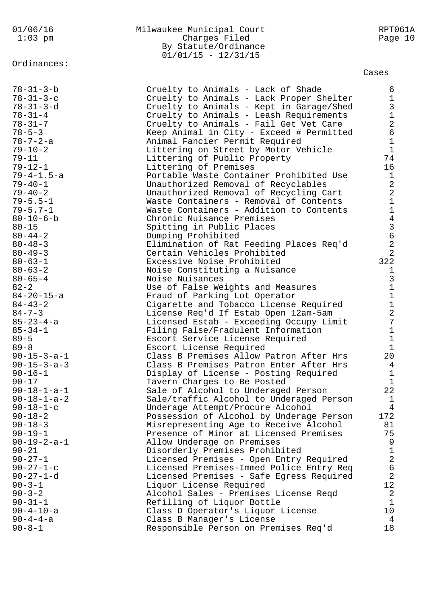## Ordinances:

## 01/06/16 Milwaukee Municipal Court RPT061A 1:03 pm Charges Filed Page 10 By Statute/Ordinance 01/01/15 - 12/31/15

## Cases

| $78 - 31 - 3 - b$     | Cruelty to Animals - Lack of Shade       | 6               |
|-----------------------|------------------------------------------|-----------------|
| $78 - 31 - 3 - c$     | Cruelty to Animals - Lack Proper Shelter | $\mathbf{1}$    |
| $78 - 31 - 3 - d$     | Cruelty to Animals - Kept in Garage/Shed | $\mathfrak{Z}$  |
| $78 - 31 - 4$         | Cruelty to Animals - Leash Requirements  | $\mathbf 1$     |
| $78 - 31 - 7$         | Cruelty to Animals - Fail Get Vet Care   | $\overline{2}$  |
| $78 - 5 - 3$          | Keep Animal in City - Exceed # Permitted | 6               |
| $78 - 7 - 2 - a$      | Animal Fancier Permit Required           | $\mathbf{1}$    |
| $79 - 10 - 2$         | Littering on Street by Motor Vehicle     | $\mathbf{1}$    |
| $79 - 11$             | Littering of Public Property             | 74              |
| $79 - 12 - 1$         | Littering of Premises                    | 16              |
| $79 - 4 - 1.5 - a$    | Portable Waste Container Prohibited Use  | $\mathbf 1$     |
| $79 - 40 - 1$         | Unauthorized Removal of Recyclables      | $\overline{a}$  |
| $79 - 40 - 2$         |                                          | $\overline{2}$  |
|                       | Unauthorized Removal of Recycling Cart   |                 |
| $79 - 5.5 - 1$        | Waste Containers - Removal of Contents   | $\mathbf{1}$    |
| $79 - 5.7 - 1$        | Waste Containers - Addition to Contents  | $\mathbf{1}$    |
| $80 - 10 - 6 - b$     | Chronic Nuisance Premises                | $\overline{4}$  |
| $80 - 15$             | Spitting in Public Places                | $\mathsf{3}$    |
| $80 - 44 - 2$         | Dumping Prohibited                       | $\epsilon$      |
| $80 - 48 - 3$         | Elimination of Rat Feeding Places Req'd  | $\overline{2}$  |
| $80 - 49 - 3$         | Certain Vehicles Prohibited              | 2               |
| $80 - 63 - 1$         | Excessive Noise Prohibited               | 322             |
| $80 - 63 - 2$         | Noise Constituting a Nuisance            | $\mathbf{1}$    |
| $80 - 65 - 4$         | Noise Nuisances                          | $\mathsf{3}$    |
| $82 - 2$              | Use of False Weights and Measures        | $1\,$           |
| $84 - 20 - 15 - a$    | Fraud of Parking Lot Operator            | $\mathbf{1}$    |
| $84 - 43 - 2$         | Cigarette and Tobacco License Required   | $\mathbf 1$     |
| $84 - 7 - 3$          | License Req'd If Estab Open 12am-5am     | $\overline{2}$  |
| $85 - 23 - 4 - a$     | Licensed Estab - Exceeding Occupy Limit  | $\overline{7}$  |
| $85 - 34 - 1$         | Filing False/Fradulent Information       | $\mathbf 1$     |
| $89 - 5$              |                                          | $\mathbf 1$     |
|                       | Escort Service License Required          |                 |
| $89 - 8$              | Escort License Required                  | $\mathbf{1}$    |
| $90 - 15 - 3 - a - 1$ | Class B Premises Allow Patron After Hrs  | 20              |
| $90 - 15 - 3 - a - 3$ | Class B Premises Patron Enter After Hrs  | $\overline{4}$  |
| $90 - 16 - 1$         | Display of License - Posting Required    | $\mathbf{1}$    |
| $90 - 17$             | Tavern Charges to Be Posted              | 1               |
| $90 - 18 - 1 - a - 1$ | Sale of Alcohol to Underaged Person      | 22              |
| $90 - 18 - 1 - a - 2$ | Sale/traffic Alcohol to Underaged Person | $\mathbf 1$     |
| $90 - 18 - 1 - c$     | Underage Attempt/Procure Alcohol         | 4               |
| $90 - 18 - 2$         | Possession of Alcohol by Underage Person | 172             |
| $90 - 18 - 3$         | Misrepresenting Age to Receive Alcohol   | 81              |
| $90 - 19 - 1$         | Presence of Minor at Licensed Premises   | 75              |
| $90 - 19 - 2 - a - 1$ | Allow Underage on Premises               | 9               |
| $90 - 21$             | Disorderly Premises Prohibited           | $\mathbf 1$     |
| $90 - 27 - 1$         | Licensed Premises - Open Entry Required  | $\overline{2}$  |
| $90 - 27 - 1 - c$     | Licensed Premises-Immed Police Entry Req | 6               |
| $90 - 27 - 1 - d$     | Licensed Premises - Safe Egress Required | $\overline{2}$  |
| $90 - 3 - 1$          | Liquor License Required                  | 12              |
| $90 - 3 - 2$          | Alcohol Sales - Premises License Regd    | $\overline{a}$  |
| $90 - 31 - 1$         | Refilling of Liquor Bottle               | $\mathbf{1}$    |
|                       |                                          | 10 <sub>o</sub> |
| $90 - 4 - 10 - a$     | Class D Operator's Liquor License        |                 |
| $90 - 4 - 4 - a$      | Class B Manager's License                | 4               |
| $90 - 8 - 1$          | Responsible Person on Premises Req'd     | 18              |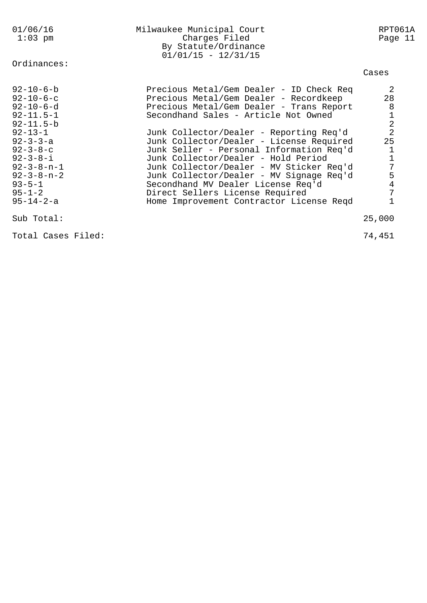| 01/06/16<br>$1:03$ pm                                                                                                                                                                                                                                                               | Milwaukee Municipal Court<br>Charges Filed<br>By Statute/Ordinance<br>$01/01/15 - 12/31/15$                                                                                                                                                                                                                                                                                                                                                                                                                                                                   | RPT061A<br>Page 11                                                          |
|-------------------------------------------------------------------------------------------------------------------------------------------------------------------------------------------------------------------------------------------------------------------------------------|---------------------------------------------------------------------------------------------------------------------------------------------------------------------------------------------------------------------------------------------------------------------------------------------------------------------------------------------------------------------------------------------------------------------------------------------------------------------------------------------------------------------------------------------------------------|-----------------------------------------------------------------------------|
| Ordinances:                                                                                                                                                                                                                                                                         |                                                                                                                                                                                                                                                                                                                                                                                                                                                                                                                                                               | Cases                                                                       |
| $92 - 10 - 6 - b$<br>$92 - 10 - 6 - c$<br>$92 - 10 - 6 - d$<br>$92 - 11.5 - 1$<br>$92 - 11.5 - b$<br>$92 - 13 - 1$<br>$92 - 3 - 3 - a$<br>$92 - 3 - 8 - c$<br>$92 - 3 - 8 - i$<br>$92 - 3 - 8 - n - 1$<br>$92 - 3 - 8 - n - 2$<br>$93 - 5 - 1$<br>$95 - 1 - 2$<br>$95 - 14 - 2 - a$ | Precious Metal/Gem Dealer - ID Check Req<br>Precious Metal/Gem Dealer - Recordkeep<br>Precious Metal/Gem Dealer - Trans Report<br>Secondhand Sales - Article Not Owned<br>Junk Collector/Dealer - Reporting Req'd<br>Junk Collector/Dealer - License Required<br>Junk Seller - Personal Information Req'd<br>Junk Collector/Dealer - Hold Period<br>Junk Collector/Dealer - MV Sticker Req'd<br>Junk Collector/Dealer - MV Signage Req'd<br>Secondhand MV Dealer License Req'd<br>Direct Sellers License Required<br>Home Improvement Contractor License Reqd | 2<br>28<br>8<br>$\frac{1}{2}$<br>25<br>1<br>$\mathbf 1$<br>7<br>5<br>4<br>7 |
| Sub Total:                                                                                                                                                                                                                                                                          |                                                                                                                                                                                                                                                                                                                                                                                                                                                                                                                                                               | 25,000                                                                      |

Total Cases Filed: 74,451